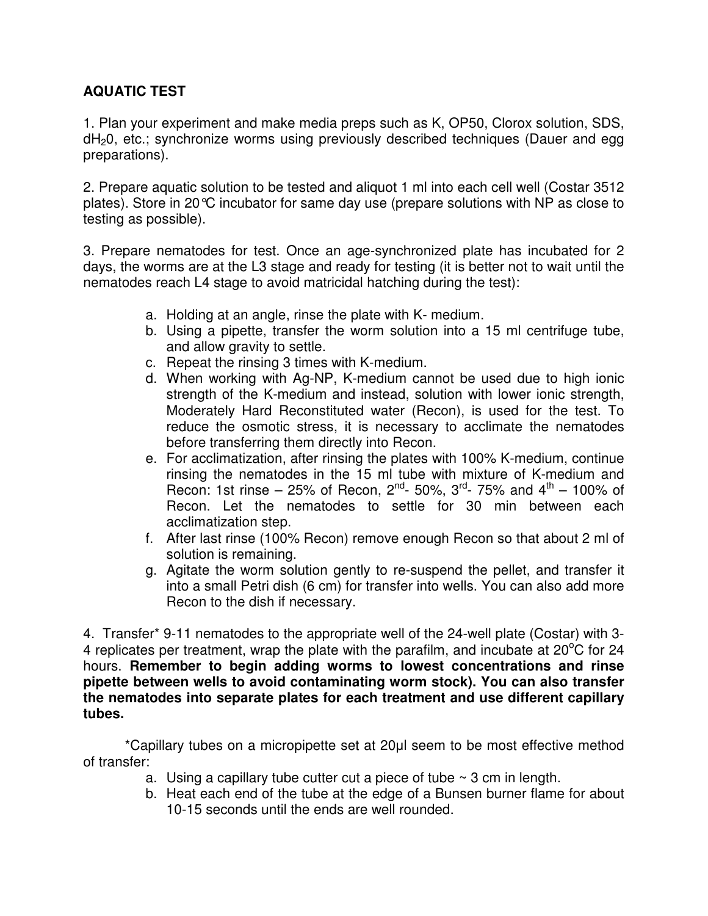## **AQUATIC TEST**

1. Plan your experiment and make media preps such as K, OP50, Clorox solution, SDS, dH<sub>2</sub>0, etc.; synchronize worms using previously described techniques (Dauer and egg preparations).

2. Prepare aquatic solution to be tested and aliquot 1 ml into each cell well (Costar 3512 plates). Store in 20°C incubator for same day use (prepare solutions with NP as close to testing as possible).

3. Prepare nematodes for test. Once an age-synchronized plate has incubated for 2 days, the worms are at the L3 stage and ready for testing (it is better not to wait until the nematodes reach L4 stage to avoid matricidal hatching during the test):

- a. Holding at an angle, rinse the plate with K- medium.
- b. Using a pipette, transfer the worm solution into a 15 ml centrifuge tube, and allow gravity to settle.
- c. Repeat the rinsing 3 times with K-medium.
- d. When working with Ag-NP, K-medium cannot be used due to high ionic strength of the K-medium and instead, solution with lower ionic strength, Moderately Hard Reconstituted water (Recon), is used for the test. To reduce the osmotic stress, it is necessary to acclimate the nematodes before transferring them directly into Recon.
- e. For acclimatization, after rinsing the plates with 100% K-medium, continue rinsing the nematodes in the 15 ml tube with mixture of K-medium and Recon: 1st rinse – 25% of Recon,  $2^{nd}$ - 50%,  $3^{rd}$ - 75% and  $4^{th}$  – 100% of Recon. Let the nematodes to settle for 30 min between each acclimatization step.
- f. After last rinse (100% Recon) remove enough Recon so that about 2 ml of solution is remaining.
- g. Agitate the worm solution gently to re-suspend the pellet, and transfer it into a small Petri dish (6 cm) for transfer into wells. You can also add more Recon to the dish if necessary.

4. Transfer\* 9-11 nematodes to the appropriate well of the 24-well plate (Costar) with 3- 4 replicates per treatment, wrap the plate with the parafilm, and incubate at  $20^{\circ}$ C for 24 hours. **Remember to begin adding worms to lowest concentrations and rinse pipette between wells to avoid contaminating worm stock). You can also transfer the nematodes into separate plates for each treatment and use different capillary tubes.** 

 \*Capillary tubes on a micropipette set at 20µl seem to be most effective method of transfer:

- a. Using a capillary tube cutter cut a piece of tube  $\sim$  3 cm in length.
- b. Heat each end of the tube at the edge of a Bunsen burner flame for about 10-15 seconds until the ends are well rounded.